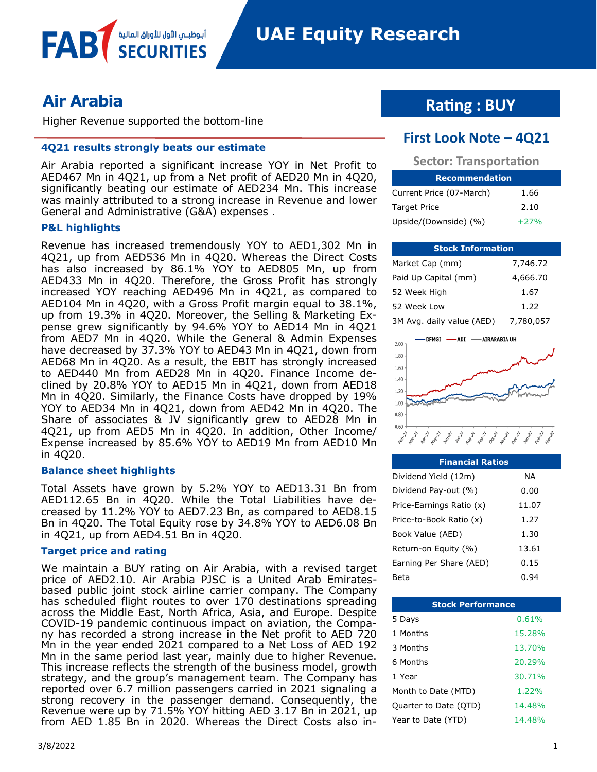

**FAB** 

Higher Revenue supported the bottom-line

أبوظبــم الأول للأوراق المالية

#### **4Q21 results strongly beats our estimate**

Air Arabia reported a significant increase YOY in Net Profit to AED467 Mn in 4Q21, up from a Net profit of AED20 Mn in 4Q20, significantly beating our estimate of AED234 Mn. This increase was mainly attributed to a strong increase in Revenue and lower General and Administrative (G&A) expenses .

#### **P&L highlights**

Revenue has increased tremendously YOY to AED1,302 Mn in 4Q21, up from AED536 Mn in 4Q20. Whereas the Direct Costs has also increased by 86.1% YOY to AED805 Mn, up from AED433 Mn in 4Q20. Therefore, the Gross Profit has strongly increased YOY reaching AED496 Mn in 4Q21, as compared to AED104 Mn in 4Q20, with a Gross Profit margin equal to 38.1%, up from 19.3% in 4Q20. Moreover, the Selling & Marketing Expense grew significantly by 94.6% YOY to AED14 Mn in 4Q21 from AED7 Mn in 4Q20. While the General & Admin Expenses have decreased by 37.3% YOY to AED43 Mn in 4Q21, down from AED68 Mn in 4Q20. As a result, the EBIT has strongly increased to AED440 Mn from AED28 Mn in 4Q20. Finance Income declined by 20.8% YOY to AED15 Mn in 4Q21, down from AED18 Mn in 4Q20. Similarly, the Finance Costs have dropped by 19% YOY to AED34 Mn in 4Q21, down from AED42 Mn in 4Q20. The Share of associates & JV significantly grew to AED28 Mn in 4Q21, up from AED5 Mn in 4Q20. In addition, Other Income/ Expense increased by 85.6% YOY to AED19 Mn from AED10 Mn in 4Q20.

#### **Balance sheet highlights**

Total Assets have grown by 5.2% YOY to AED13.31 Bn from AED112.65 Bn in 4Q20. While the Total Liabilities have decreased by 11.2% YOY to AED7.23 Bn, as compared to AED8.15 Bn in 4Q20. The Total Equity rose by 34.8% YOY to AED6.08 Bn in 4Q21, up from AED4.51 Bn in 4Q20.

#### **Target price and rating**

We maintain a BUY rating on Air Arabia, with a revised target price of AED2.10. Air Arabia PJSC is a United Arab Emiratesbased public joint stock airline carrier company. The Company has scheduled flight routes to over 170 destinations spreading across the Middle East, North Africa, Asia, and Europe. Despite COVID-19 pandemic continuous impact on aviation, the Company has recorded a strong increase in the Net profit to AED 720 Mn in the year ended 2021 compared to a Net Loss of AED 192 Mn in the same period last year, mainly due to higher Revenue. This increase reflects the strength of the business model, growth strategy, and the group's management team. The Company has reported over 6.7 million passengers carried in 2021 signaling a strong recovery in the passenger demand. Consequently, the Revenue were up by 71.5% YOY hitting AED 3.17 Bn in 2021, up from AED 1.85 Bn in 2020. Whereas the Direct Costs also in-

## **Rating : BUY**

### **First Look Note – 4Q21**

| <b>Sector: Transportation</b> |      |  |  |  |  |
|-------------------------------|------|--|--|--|--|
| <b>Recommendation</b>         |      |  |  |  |  |
| Current Price (07-March)      | 1.66 |  |  |  |  |
| Target Price                  | 2.10 |  |  |  |  |

Upside/(Downside)  $(% )$  +27%

| <b>Stock Information</b>  |           |  |  |  |  |
|---------------------------|-----------|--|--|--|--|
| Market Cap (mm)           | 7,746.72  |  |  |  |  |
| Paid Up Capital (mm)      | 4,666.70  |  |  |  |  |
| 52 Week High              | 1.67      |  |  |  |  |
| 52 Week Low               | 1.22      |  |  |  |  |
| 3M Avg. daily value (AED) | 7,780,057 |  |  |  |  |



| <b>Financial Ratios</b>  |       |
|--------------------------|-------|
| Dividend Yield (12m)     | NA    |
| Dividend Pay-out (%)     | 0.00  |
| Price-Earnings Ratio (x) | 11.07 |
| Price-to-Book Ratio (x)  | 1.27  |
| Book Value (AED)         | 1.30  |
| Return-on Equity (%)     | 13.61 |
| Earning Per Share (AED)  | 0.15  |
| Beta                     | ().94 |

| <b>Stock Performance</b> |        |  |  |  |  |
|--------------------------|--------|--|--|--|--|
| 5 Days                   | 0.61%  |  |  |  |  |
| 1 Months                 | 15.28% |  |  |  |  |
| 3 Months                 | 13.70% |  |  |  |  |
| 6 Months                 | 20.29% |  |  |  |  |
| 1 Year                   | 30.71% |  |  |  |  |
| Month to Date (MTD)      | 1.22%  |  |  |  |  |
| Quarter to Date (QTD)    | 14.48% |  |  |  |  |
| Year to Date (YTD)       | 14.48% |  |  |  |  |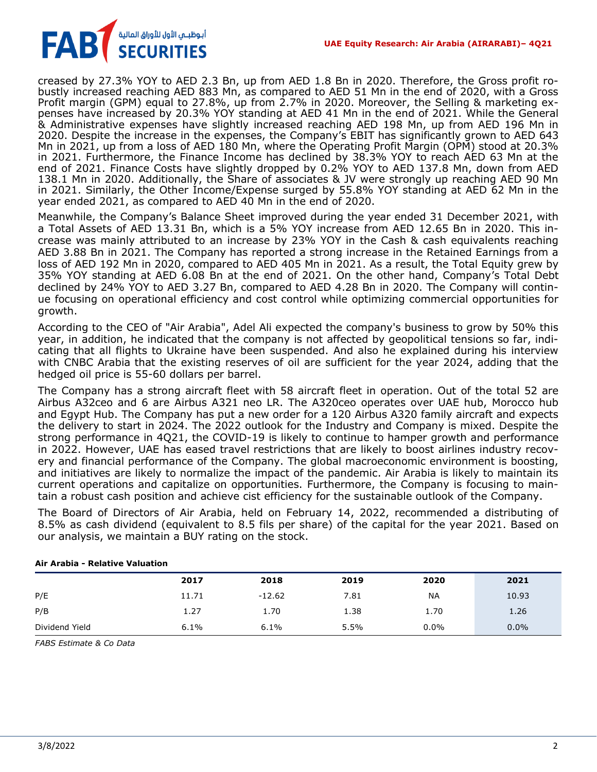

creased by 27.3% YOY to AED 2.3 Bn, up from AED 1.8 Bn in 2020. Therefore, the Gross profit robustly increased reaching AED 883 Mn, as compared to AED 51 Mn in the end of 2020, with a Gross Profit margin (GPM) equal to 27.8%, up from 2.7% in 2020. Moreover, the Selling & marketing expenses have increased by 20.3% YOY standing at AED 41 Mn in the end of 2021. While the General & Administrative expenses have slightly increased reaching AED 198 Mn, up from AED 196 Mn in 2020. Despite the increase in the expenses, the Company's EBIT has significantly grown to AED 643 Mn in 2021, up from a loss of AED 180 Mn, where the Operating Profit Margin (OPM) stood at 20.3% in 2021. Furthermore, the Finance Income has declined by 38.3% YOY to reach AED 63 Mn at the end of 2021. Finance Costs have slightly dropped by 0.2% YOY to AED 137.8 Mn, down from AED 138.1 Mn in 2020. Additionally, the Share of associates & JV were strongly up reaching AED 90 Mn in 2021. Similarly, the Other Income/Expense surged by 55.8% YOY standing at AED 62 Mn in the year ended 2021, as compared to AED 40 Mn in the end of 2020.

Meanwhile, the Company's Balance Sheet improved during the year ended 31 December 2021, with a Total Assets of AED 13.31 Bn, which is a 5% YOY increase from AED 12.65 Bn in 2020. This increase was mainly attributed to an increase by 23% YOY in the Cash & cash equivalents reaching AED 3.88 Bn in 2021. The Company has reported a strong increase in the Retained Earnings from a loss of AED 192 Mn in 2020, compared to AED 405 Mn in 2021. As a result, the Total Equity grew by 35% YOY standing at AED 6.08 Bn at the end of 2021. On the other hand, Company's Total Debt declined by 24% YOY to AED 3.27 Bn, compared to AED 4.28 Bn in 2020. The Company will continue focusing on operational efficiency and cost control while optimizing commercial opportunities for growth.

According to the CEO of "Air Arabia", Adel Ali expected the company's business to grow by 50% this year, in addition, he indicated that the company is not affected by geopolitical tensions so far, indicating that all flights to Ukraine have been suspended. And also he explained during his interview with CNBC Arabia that the existing reserves of oil are sufficient for the year 2024, adding that the hedged oil price is 55-60 dollars per barrel.

The Company has a strong aircraft fleet with 58 aircraft fleet in operation. Out of the total 52 are Airbus A32ceo and 6 are Airbus A321 neo LR. The A320ceo operates over UAE hub, Morocco hub and Egypt Hub. The Company has put a new order for a 120 Airbus A320 family aircraft and expects the delivery to start in 2024. The 2022 outlook for the Industry and Company is mixed. Despite the strong performance in 4Q21, the COVID-19 is likely to continue to hamper growth and performance in 2022. However, UAE has eased travel restrictions that are likely to boost airlines industry recovery and financial performance of the Company. The global macroeconomic environment is boosting, and initiatives are likely to normalize the impact of the pandemic. Air Arabia is likely to maintain its current operations and capitalize on opportunities. Furthermore, the Company is focusing to maintain a robust cash position and achieve cist efficiency for the sustainable outlook of the Company.

The Board of Directors of Air Arabia, held on February 14, 2022, recommended a distributing of 8.5% as cash dividend (equivalent to 8.5 fils per share) of the capital for the year 2021. Based on our analysis, we maintain a BUY rating on the stock.

|                | 2017  | 2018     | 2019 | 2020      | 2021    |
|----------------|-------|----------|------|-----------|---------|
| P/E            | 11.71 | $-12.62$ | 7.81 | <b>NA</b> | 10.93   |
| P/B            | 1.27  | 1.70     | 1.38 | 1.70      | 1.26    |
| Dividend Yield | 6.1%  | 6.1%     | 5.5% | $0.0\%$   | $0.0\%$ |

#### **Air Arabia - Relative Valuation**

*FABS Estimate & Co Data*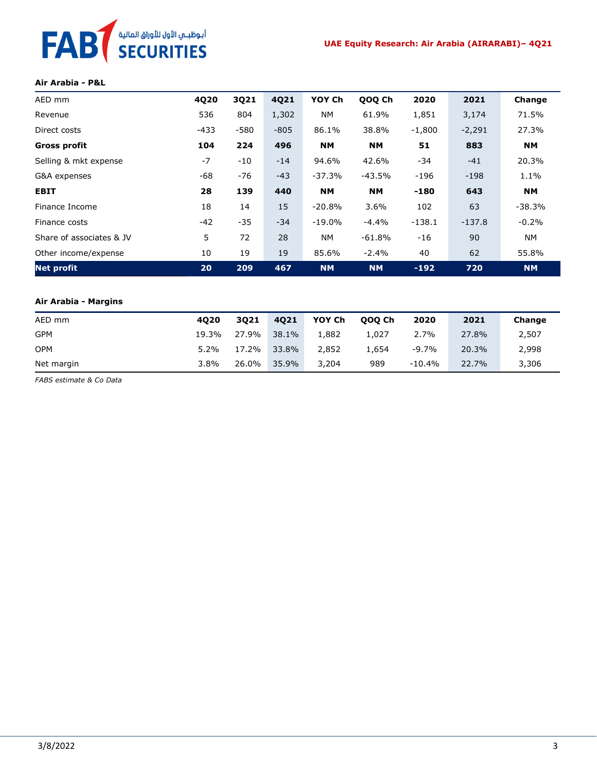# FAB<sup>T</sup> SECURITIES

#### **Air Arabia - P&L**

| AED mm                   | 4Q20  | 3Q21   | 4Q21   | YOY Ch    | QOQ Ch    | 2020     | 2021     | Change    |
|--------------------------|-------|--------|--------|-----------|-----------|----------|----------|-----------|
| Revenue                  | 536   | 804    | 1,302  | <b>NM</b> | 61.9%     | 1,851    | 3,174    | 71.5%     |
| Direct costs             | -433  | $-580$ | $-805$ | 86.1%     | 38.8%     | $-1,800$ | $-2,291$ | 27.3%     |
| <b>Gross profit</b>      | 104   | 224    | 496    | <b>NM</b> | <b>NM</b> | 51       | 883      | <b>NM</b> |
| Selling & mkt expense    | $-7$  | $-10$  | $-14$  | 94.6%     | 42.6%     | -34      | $-41$    | 20.3%     |
| G&A expenses             | $-68$ | $-76$  | $-43$  | $-37.3%$  | $-43.5%$  | $-196$   | $-198$   | 1.1%      |
| <b>EBIT</b>              | 28    | 139    | 440    | <b>NM</b> | <b>NM</b> | $-180$   | 643      | <b>NM</b> |
| Finance Income           | 18    | 14     | 15     | $-20.8%$  | 3.6%      | 102      | 63       | $-38.3%$  |
| Finance costs            | $-42$ | $-35$  | $-34$  | $-19.0%$  | $-4.4%$   | $-138.1$ | $-137.8$ | $-0.2%$   |
| Share of associates & JV | 5     | 72     | 28     | NM.       | $-61.8%$  | $-16$    | 90       | <b>NM</b> |
| Other income/expense     | 10    | 19     | 19     | 85.6%     | $-2.4%$   | 40       | 62       | 55.8%     |
| <b>Net profit</b>        | 20    | 209    | 467    | <b>NM</b> | <b>NM</b> | $-192$   | 720      | <b>NM</b> |

#### **Air Arabia - Margins**

| AED mm     | 4020    | 3021  | 4021  | YOY Ch | 000 Ch | 2020     | 2021  | Change |
|------------|---------|-------|-------|--------|--------|----------|-------|--------|
| <b>GPM</b> | 19.3%   | 27.9% | 38.1% | 1,882  | 1.027  | 2.7%     | 27.8% | 2,507  |
| <b>OPM</b> | $5.2\%$ | 17.2% | 33.8% | 2,852  | 1.654  | -9.7%    | 20.3% | 2,998  |
| Net margin | 3.8%    | 26.0% | 35.9% | 3,204  | 989    | $-10.4%$ | 22.7% | 3,306  |

*FABS estimate & Co Data*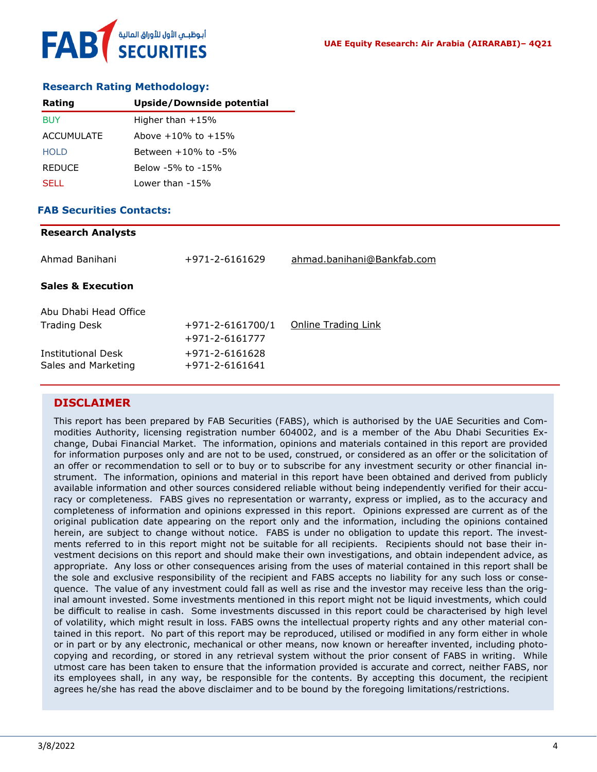

#### **Research Rating Methodology:**

| Rating        | Upside/Downside potential |
|---------------|---------------------------|
| BUY           | Higher than $+15%$        |
| ACCUMULATE    | Above $+10\%$ to $+15\%$  |
| <b>HOLD</b>   | Between $+10\%$ to $-5\%$ |
| <b>REDUCE</b> | Below -5% to -15%         |
| SELL.         | Lower than -15%           |

#### **FAB Securities Contacts: Research Analysts**

| Research Analysts                         |                                                |                            |
|-------------------------------------------|------------------------------------------------|----------------------------|
| Ahmad Banihani                            | +971-2-6161629                                 | ahmad.banihani@Bankfab.com |
| <b>Sales &amp; Execution</b>              |                                                |                            |
| Abu Dhabi Head Office                     |                                                |                            |
| <b>Trading Desk</b>                       | $+971 - 2 - 6161700/1$<br>$+971 - 2 - 6161777$ | Online Trading Link        |
| Institutional Desk<br>Sales and Marketing | +971-2-6161628<br>$+971 - 2 - 6161641$         |                            |
|                                           |                                                |                            |

#### **DISCLAIMER**

This report has been prepared by FAB Securities (FABS), which is authorised by the UAE Securities and Commodities Authority, licensing registration number 604002, and is a member of the Abu Dhabi Securities Exchange, Dubai Financial Market. The information, opinions and materials contained in this report are provided for information purposes only and are not to be used, construed, or considered as an offer or the solicitation of an offer or recommendation to sell or to buy or to subscribe for any investment security or other financial instrument. The information, opinions and material in this report have been obtained and derived from publicly available information and other sources considered reliable without being independently verified for their accuracy or completeness. FABS gives no representation or warranty, express or implied, as to the accuracy and completeness of information and opinions expressed in this report. Opinions expressed are current as of the original publication date appearing on the report only and the information, including the opinions contained herein, are subject to change without notice. FABS is under no obligation to update this report. The investments referred to in this report might not be suitable for all recipients. Recipients should not base their investment decisions on this report and should make their own investigations, and obtain independent advice, as appropriate. Any loss or other consequences arising from the uses of material contained in this report shall be the sole and exclusive responsibility of the recipient and FABS accepts no liability for any such loss or consequence. The value of any investment could fall as well as rise and the investor may receive less than the original amount invested. Some investments mentioned in this report might not be liquid investments, which could be difficult to realise in cash. Some investments discussed in this report could be characterised by high level of volatility, which might result in loss. FABS owns the intellectual property rights and any other material contained in this report. No part of this report may be reproduced, utilised or modified in any form either in whole or in part or by any electronic, mechanical or other means, now known or hereafter invented, including photocopying and recording, or stored in any retrieval system without the prior consent of FABS in writing. While utmost care has been taken to ensure that the information provided is accurate and correct, neither FABS, nor its employees shall, in any way, be responsible for the contents. By accepting this document, the recipient agrees he/she has read the above disclaimer and to be bound by the foregoing limitations/restrictions.